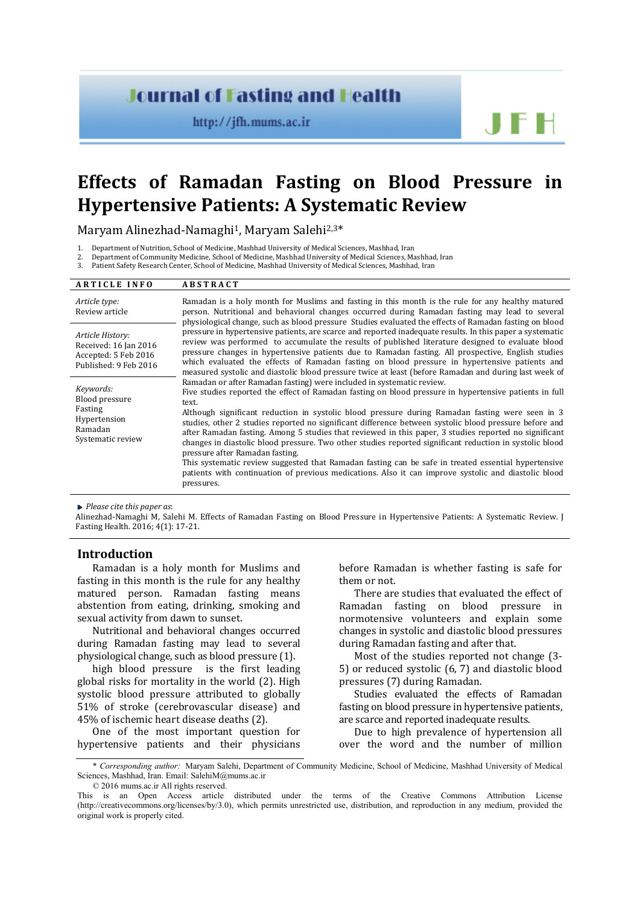# **Journal of Fasting and Health**

http://jfh.mums.ac.ir

J F H

# **Effects of Ramadan Fasting on Blood Pressure in Hypertensive Patients: A Systematic Review**

Maryam Alinezhad-Namaghi<sup>1</sup>, Maryam Salehi<sup>2,3\*</sup>

1. Department of Nutrition, School of Medicine, Mashhad University of Medical Sciences, Mashhad, Iran

2. Department of Community Medicine, School of Medicine, Mashhad University of Medical Sciences, Mashhad, Iran<br>3. Patient Safety Research Center, School of Medicine, Mashhad University of Medical Sciences, Mashhad, Iran

Patient Safety Research Center, School of Medicine, Mashhad University of Medical Sciences, Mashhad, Iran

| <b>ARTICLE INFO</b>                                                                        | <b>ABSTRACT</b>                                                                                                                                                                                                                                                                                                                                                                                                                                                                                                                                                                                                                                                                                                                                                                                                                                                                           |  |  |  |  |
|--------------------------------------------------------------------------------------------|-------------------------------------------------------------------------------------------------------------------------------------------------------------------------------------------------------------------------------------------------------------------------------------------------------------------------------------------------------------------------------------------------------------------------------------------------------------------------------------------------------------------------------------------------------------------------------------------------------------------------------------------------------------------------------------------------------------------------------------------------------------------------------------------------------------------------------------------------------------------------------------------|--|--|--|--|
| Article type:<br>Review article                                                            | Ramadan is a holy month for Muslims and fasting in this month is the rule for any healthy matured<br>person. Nutritional and behavioral changes occurred during Ramadan fasting may lead to several<br>physiological change, such as blood pressure Studies evaluated the effects of Ramadan fasting on blood                                                                                                                                                                                                                                                                                                                                                                                                                                                                                                                                                                             |  |  |  |  |
| Article History:<br>Received: 16 Jan 2016<br>Accepted: 5 Feb 2016<br>Published: 9 Feb 2016 | pressure in hypertensive patients, are scarce and reported inadequate results. In this paper a systematic<br>review was performed to accumulate the results of published literature designed to evaluate blood<br>pressure changes in hypertensive patients due to Ramadan fasting. All prospective, English studies<br>which evaluated the effects of Ramadan fasting on blood pressure in hypertensive patients and<br>measured systolic and diastolic blood pressure twice at least (before Ramadan and during last week of                                                                                                                                                                                                                                                                                                                                                            |  |  |  |  |
| Keywords:<br>Blood pressure<br>Fasting<br>Hypertension<br>Ramadan<br>Systematic review     | Ramadan or after Ramadan fasting) were included in systematic review.<br>Five studies reported the effect of Ramadan fasting on blood pressure in hypertensive patients in full<br>text.<br>Although significant reduction in systolic blood pressure during Ramadan fasting were seen in 3<br>studies, other 2 studies reported no significant difference between systolic blood pressure before and<br>after Ramadan fasting. Among 5 studies that reviewed in this paper, 3 studies reported no significant<br>changes in diastolic blood pressure. Two other studies reported significant reduction in systolic blood<br>pressure after Ramadan fasting.<br>This systematic review suggested that Ramadan fasting can be safe in treated essential hypertensive<br>patients with continuation of previous medications. Also it can improve systolic and diastolic blood<br>pressures. |  |  |  |  |

*Please cite this paper as*:

Alinezhad-Namaghi M, Salehi M. Effects of Ramadan Fasting on Blood Pressure in Hypertensive Patients: A Systematic Review. J Fasting Health. 2016; 4(1): 17-21.

# **Introduction**

Ramadan is a holy month for Muslims and fasting in this month is the rule for any healthy matured person. Ramadan fasting means abstention from eating, drinking, smoking and sexual activity from dawn to sunset.

Nutritional and behavioral changes occurred during Ramadan fasting may lead to several physiological change, such as blood pressure [\(1\)](#page-4-0).

high blood pressure is the first leading global risks for mortality in the world [\(2\)](#page-4-1). High systolic blood pressure attributed to globally 51% of stroke (cerebrovascular disease) and 45% of ischemic heart disease deaths [\(2\)](#page-4-1).

One of the most important question for hypertensive patients and their physicians

before Ramadan is whether fasting is safe for them or not.

There are studies that evaluated the effect of Ramadan fasting on blood pressure in normotensive volunteers and explain some changes in systolic and diastolic blood pressures during Ramadan fasting and after that.

Most of the studies reported not change [\(3-](#page-4-2) [5\)](#page-4-2) or reduced systolic [\(6,](#page-4-3) [7\)](#page-4-4) and diastolic blood pressures [\(7\)](#page-4-4) during Ramadan.

Studies evaluated the effects of Ramadan fasting on blood pressure in hypertensive patients, are scarce and reported inadequate results.

Due to high prevalence of hypertension all over the word and the number of million

© 2016 mums.ac.ir All rights reserved.

<sup>\*</sup> *Corresponding author:* Maryam Salehi, Department of Community Medicine, School of Medicine, Mashhad University of Medical Sciences, Mashhad, Iran. Email[: SalehiM@mums.ac.ir](mailto:SalehiM@mums.ac.ir)

This is an Open Access article distributed under the terms of the Creative Commons Attribution License (http://creativecommons.org/licenses/by/3.0), which permits unrestricted use, distribution, and reproduction in any medium, provided the original work is properly cited.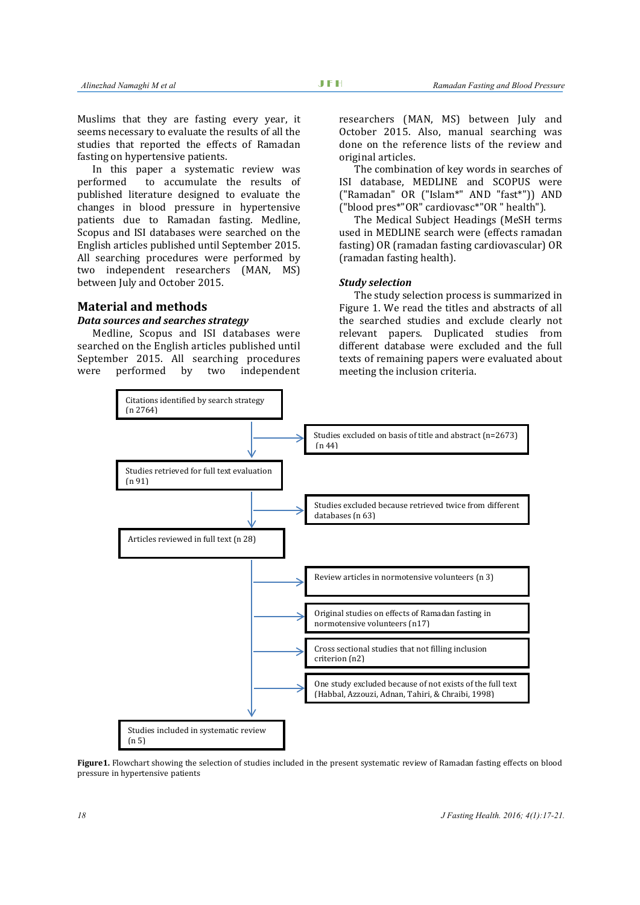Muslims that they are fasting every year, it seems necessary to evaluate the results of all the studies that reported the effects of Ramadan fasting on hypertensive patients.

In this paper a systematic review was<br>performed to accumulate the results of to accumulate the results of published literature designed to evaluate the changes in blood pressure in hypertensive patients due to Ramadan fasting. Medline, Scopus and ISI databases were searched on the English articles published until September 2015. All searching procedures were performed by two independent researchers (MAN, MS) between July and October 2015.

#### **Material and methods**

#### *Data sources and searches strategy*

Medline, Scopus and ISI databases were searched on the English articles published until September 2015. All searching procedures<br>were performed by two independent two independent researchers (MAN, MS) between July and October 2015. Also, manual searching was done on the reference lists of the review and original articles.

The combination of key words in searches of ISI database, MEDLINE and SCOPUS were ("Ramadan" OR ("Islam\*" AND "fast\*")) AND ("blood pres\*"OR" cardiovasc\*"OR " health").

The Medical Subject Headings (MeSH terms used in MEDLINE search were (effects ramadan fasting) OR (ramadan fasting cardiovascular) OR (ramadan fasting health).

#### *Study selection*

The study selection process is summarized in Figure 1. We read the titles and abstracts of all the searched studies and exclude clearly not relevant papers. Duplicated studies from different database were excluded and the full texts of remaining papers were evaluated about meeting the inclusion criteria.



**Figure1.** Flowchart showing the selection of studies included in the present systematic review of Ramadan fasting effects on blood pressure in hypertensive patients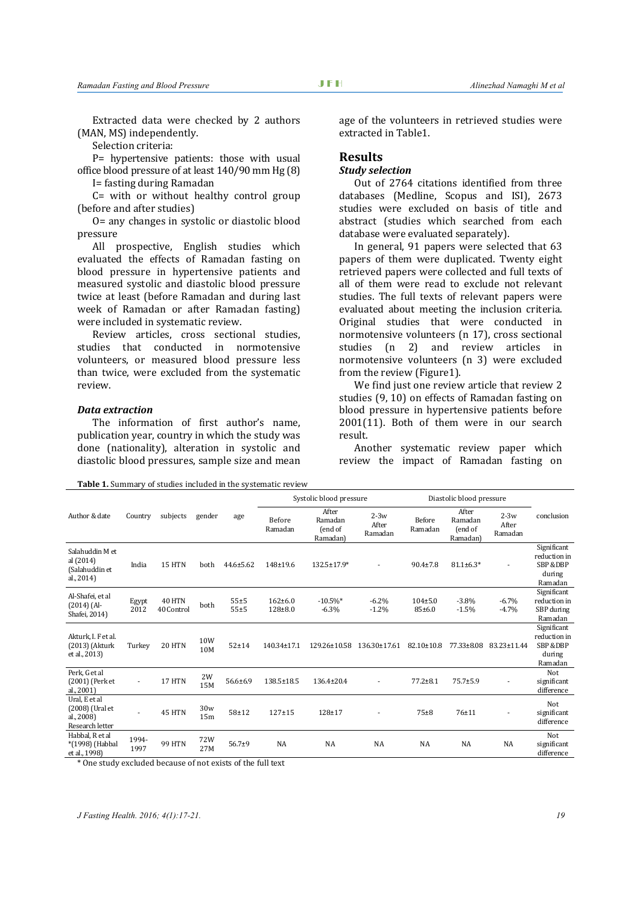Extracted data were checked by 2 authors (MAN, MS) independently.

Selection criteria:

P= hypertensive patients: those with usual office blood pressure of at least 140/90 mm Hg [\(8\)](#page-4-5)

I= fasting during Ramadan

C= with or without healthy control group (before and after studies)

O= any changes in systolic or diastolic blood pressure

All prospective, English studies which evaluated the effects of Ramadan fasting on blood pressure in hypertensive patients and measured systolic and diastolic blood pressure twice at least (before Ramadan and during last week of Ramadan or after Ramadan fasting) were included in systematic review.

Review articles, cross sectional studies, studies that conducted in normotensive volunteers, or measured blood pressure less than twice, were excluded from the systematic review.

#### *Data extraction*

The information of first author's name, publication year, country in which the study was done (nationality), alteration in systolic and diastolic blood pressures, sample size and mean age of the volunteers in retrieved studies were extracted in Table1.

#### **Results**

# *Study selection*

Out of 2764 citations identified from three databases (Medline, Scopus and ISI), 2673 studies were excluded on basis of title and abstract (studies which searched from each database were evaluated separately).

In general, 91 papers were selected that 63 papers of them were duplicated. Twenty eight retrieved papers were collected and full texts of all of them were read to exclude not relevant studies. The full texts of relevant papers were evaluated about meeting the inclusion criteria. Original studies that were conducted in normotensive volunteers (n 17), cross sectional<br>studies (n 2) and review articles in  $(n \ 2)$  and review articles normotensive volunteers (n 3) were excluded from the review (Figure1).

We find just one review article that review 2 studies [\(9,](#page-4-6) [10\)](#page-4-7) on effects of Ramadan fasting on blood pressure in hypertensive patients before 2001[\(11\)](#page-4-8). Both of them were in our search result.

Another systematic review paper which review the impact of Ramadan fasting on

**Table 1.** Summary of studies included in the systematic review

|                                                                                                                    | Country       | subjects                    | gender                 | age                  | Systolic blood pressure    |                                         |                            | Diastolic blood pressure |                                         |                            |                                                                         |
|--------------------------------------------------------------------------------------------------------------------|---------------|-----------------------------|------------------------|----------------------|----------------------------|-----------------------------------------|----------------------------|--------------------------|-----------------------------------------|----------------------------|-------------------------------------------------------------------------|
| Author & date                                                                                                      |               |                             |                        |                      | Before<br>Ramadan          | After<br>Ramadan<br>(end of<br>Ramadan) | $2-3w$<br>After<br>Ramadan | Before<br>Ramadan        | After<br>Ramadan<br>(end of<br>Ramadan) | $2-3w$<br>After<br>Ramadan | conclusion                                                              |
| Salahuddin M et<br>al (2014)<br>(Salahuddin et<br>al., 2014)                                                       | India         | 15 HTN                      | both                   | $44.6 \pm 5.62$      | 148±19.6                   | 132.5±17.9*                             |                            | $90.4 \pm 7.8$           | $81.1 \pm 6.3*$                         |                            | Significant<br>reduction in<br><b>SBP &amp;DBP</b><br>during<br>Ramadan |
| Al-Shafei, et al<br>$(2014)$ (Al-<br>Shafei, 2014)                                                                 | Egypt<br>2012 | <b>40 HTN</b><br>40 Control | both                   | $55 + 5$<br>$55 + 5$ | $162 + 6.0$<br>$128 + 8.0$ | $-10.5\%$ *<br>$-6.3%$                  | $-6.2%$<br>$-1.2%$         | $104 \pm 5.0$<br>85±6.0  | $-3.8%$<br>$-1.5%$                      | $-6.7%$<br>$-4.7%$         | Significant<br>reduction in<br>SBP during<br>Ramadan                    |
| Akturk, I. F et al.<br>(2013) (Akturk<br>et al., 2013)                                                             | Turkey        | 20 HTN                      | 10W<br>10M             | $52 + 14$            | 140.34±17.1                | 129.26±10.58                            | 136.30±17.61               | $82.10 \pm 10.8$         | 77.33±8.08                              | 83.23±11.44                | Significant<br>reduction in<br><b>SBP &amp;DBP</b><br>during<br>Ramadan |
| Perk, G et al<br>(2001) (Perk et<br>al., 2001)                                                                     | ٠             | 17 HTN                      | 2W<br>15M              | $56.6 \pm 6.9$       | 138.5±18.5                 | 136.4±20.4                              |                            | $77.2 \pm 8.1$           | $75.7 + 5.9$                            |                            | Not<br>significant<br>difference                                        |
| Ural, E et al<br>(2008) (Ural et<br>al., 2008)<br>Research letter                                                  |               | 45 HTN                      | 30w<br>15 <sub>m</sub> | $58 + 12$            | $127 + 15$                 | $128 + 17$                              |                            | $75 + 8$                 | $76 + 11$                               |                            | Not<br>significant<br>difference                                        |
| Habbal, R et al<br>*(1998) (Habbal<br>et al., 1998)<br>* One study evoluded because of not evicts of the full text | 1994-<br>1997 | <b>99 HTN</b>               | 72W<br>27M             | $56.7+9$             | <b>NA</b>                  | <b>NA</b>                               | <b>NA</b>                  | <b>NA</b>                | <b>NA</b>                               | <b>NA</b>                  | Not<br>significant<br>difference                                        |

One study excluded because of not exists of the full text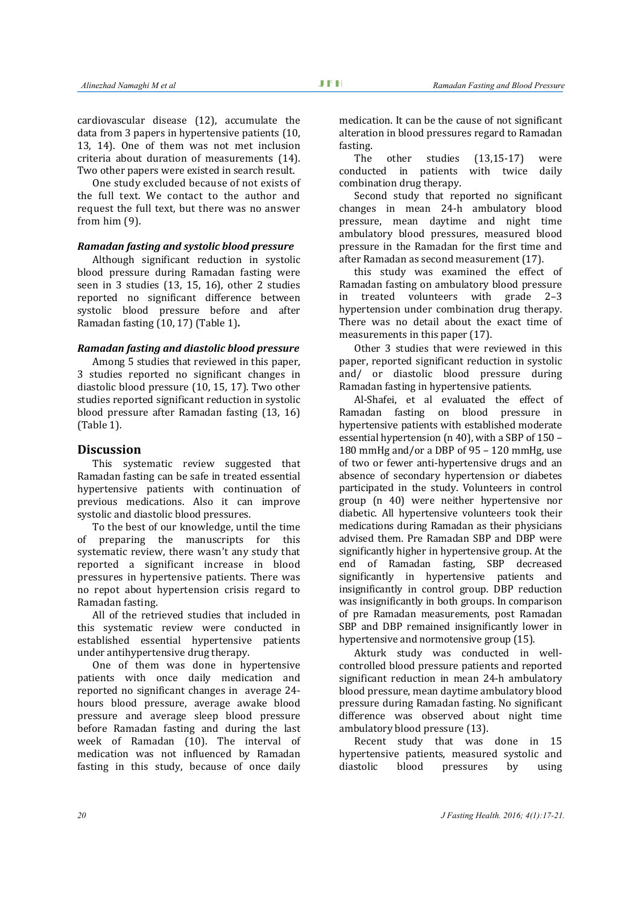cardiovascular disease [\(12\)](#page-4-9), accumulate the data from 3 papers in hypertensive patients [\(10,](#page-4-7)  [13,](#page-4-10) [14\)](#page-4-11). One of them was not met inclusion criteria about duration of measurements [\(14\)](#page-4-11). Two other papers were existed in search result.

One study excluded because of not exists of the full text. We contact to the author and request the full text, but there was no answer from him [\(9\)](#page-4-6).

#### *Ramadan fasting and systolic blood pressure*

Although significant reduction in systolic blood pressure during Ramadan fasting were seen in 3 studies [\(13,](#page-4-10) [15,](#page-4-12) [16\)](#page-4-13), other 2 studies reported no significant difference between systolic blood pressure before and after Ramadan fasting [\(10,](#page-4-7) [17\)](#page-4-14) (Table 1)**.**

#### *Ramadan fasting and diastolic blood pressure*

Among 5 studies that reviewed in this paper, 3 studies reported no significant changes in diastolic blood pressure [\(10,](#page-4-7) [15,](#page-4-12) [17\)](#page-4-14). Two other studies reported significant reduction in systolic blood pressure after Ramadan fasting [\(13,](#page-4-10) [16\)](#page-4-13) (Table 1).

# **Discussion**

This systematic review suggested that Ramadan fasting can be safe in treated essential hypertensive patients with continuation of previous medications. Also it can improve systolic and diastolic blood pressures.

To the best of our knowledge, until the time of preparing the manuscripts for this systematic review, there wasn't any study that reported a significant increase in blood pressures in hypertensive patients. There was no repot about hypertension crisis regard to Ramadan fasting.

All of the retrieved studies that included in this systematic review were conducted in established essential hypertensive patients under antihypertensive drug therapy.

One of them was done in hypertensive patients with once daily medication and reported no significant changes in average 24 hours blood pressure, average awake blood pressure and average sleep blood pressure before Ramadan fasting and during the last week of Ramadan [\(10\)](#page-4-7). The interval of medication was not influenced by Ramadan fasting in this study, because of once daily

medication. It can be the cause of not significant alteration in blood pressures regard to Ramadan fasting.<br>The

other studies  $(13,15-17)$  $(13,15-17)$  were conducted in patients with twice daily combination drug therapy.

Second study that reported no significant changes in mean 24-h ambulatory blood pressure, mean daytime and night time ambulatory blood pressures, measured blood pressure in the Ramadan for the first time and after Ramadan as second measurement [\(17\)](#page-4-14).

this study was examined the effect of Ramadan fasting on ambulatory blood pressure<br>in treated volunteers with grade 2-3 treated volunteers with grade hypertension under combination drug therapy. There was no detail about the exact time of measurements in this paper [\(17\)](#page-4-14).

Other 3 studies that were reviewed in this paper, reported significant reduction in systolic and/ or diastolic blood pressure during Ramadan fasting in hypertensive patients.

Al-Shafei, et al evaluated the effect of Ramadan fasting on blood pressure in hypertensive patients with established moderate essential hypertension (n 40), with a SBP of 150 – 180 mmHg and/or a DBP of 95 – 120 mmHg, use of two or fewer anti-hypertensive drugs and an absence of secondary hypertension or diabetes participated in the study. Volunteers in control group (n 40) were neither hypertensive nor diabetic. All hypertensive volunteers took their medications during Ramadan as their physicians advised them. Pre Ramadan SBP and DBP were significantly higher in hypertensive group. At the end of Ramadan fasting, SBP decreased significantly in hypertensive patients and insignificantly in control group. DBP reduction was insignificantly in both groups. In comparison of pre Ramadan measurements, post Ramadan SBP and DBP remained insignificantly lower in hypertensive and normotensive group [\(15\)](#page-4-12).

Akturk study was conducted in wellcontrolled blood pressure patients and reported significant reduction in mean 24-h ambulatory blood pressure, mean daytime ambulatory blood pressure during Ramadan fasting. No significant difference was observed about night time ambulatory blood pressure [\(13\)](#page-4-10).

Recent study that was done in 15 hypertensive patients, measured systolic and<br>diastolic blood pressures by using pressures